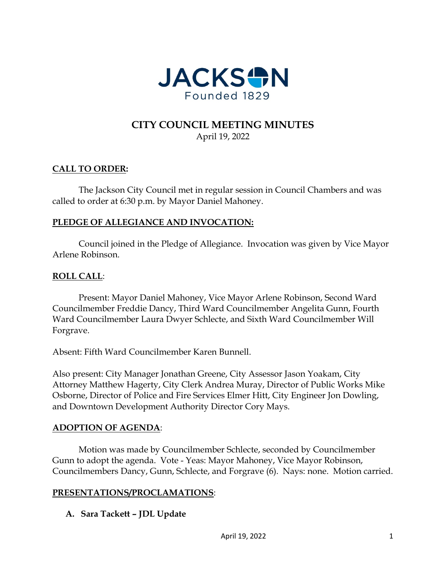

## **CITY COUNCIL MEETING MINUTES** April 19, 2022

#### **CALL TO ORDER:**

The Jackson City Council met in regular session in Council Chambers and was called to order at 6:30 p.m. by Mayor Daniel Mahoney.

#### **PLEDGE OF ALLEGIANCE AND INVOCATION:**

Council joined in the Pledge of Allegiance. Invocation was given by Vice Mayor Arlene Robinson.

#### **ROLL CALL**:

Present: Mayor Daniel Mahoney, Vice Mayor Arlene Robinson, Second Ward Councilmember Freddie Dancy, Third Ward Councilmember Angelita Gunn, Fourth Ward Councilmember Laura Dwyer Schlecte, and Sixth Ward Councilmember Will Forgrave.

Absent: Fifth Ward Councilmember Karen Bunnell.

Also present: City Manager Jonathan Greene, City Assessor Jason Yoakam, City Attorney Matthew Hagerty, City Clerk Andrea Muray, Director of Public Works Mike Osborne, Director of Police and Fire Services Elmer Hitt, City Engineer Jon Dowling, and Downtown Development Authority Director Cory Mays.

#### **ADOPTION OF AGENDA**:

Motion was made by Councilmember Schlecte, seconded by Councilmember Gunn to adopt the agenda. Vote - Yeas: Mayor Mahoney, Vice Mayor Robinson, Councilmembers Dancy, Gunn, Schlecte, and Forgrave (6). Nays: none. Motion carried.

#### **PRESENTATIONS/PROCLAMATIONS**:

**A. Sara Tackett – JDL Update**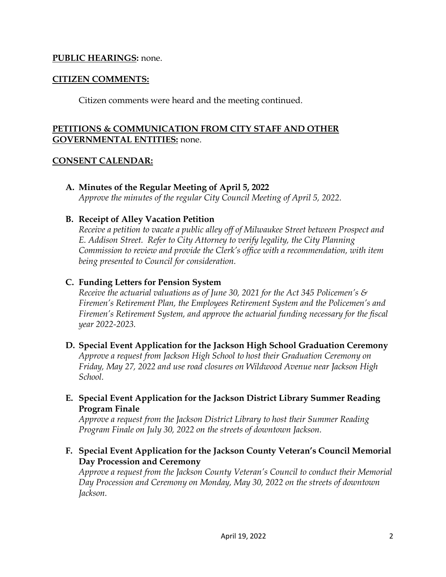#### **PUBLIC HEARINGS:** none.

#### **CITIZEN COMMENTS:**

Citizen comments were heard and the meeting continued.

#### **PETITIONS & COMMUNICATION FROM CITY STAFF AND OTHER GOVERNMENTAL ENTITIES:** none.

#### **CONSENT CALENDAR:**

**A. Minutes of the Regular Meeting of April 5, 2022**

*Approve the minutes of the regular City Council Meeting of April 5, 2022.* 

#### **B. Receipt of Alley Vacation Petition**

*Receive a petition to vacate a public alley off of Milwaukee Street between Prospect and E. Addison Street. Refer to City Attorney to verify legality, the City Planning Commission to review and provide the Clerk's office with a recommendation, with item being presented to Council for consideration.* 

#### **C. Funding Letters for Pension System**

*Receive the actuarial valuations as of June 30, 2021 for the Act 345 Policemen's & Firemen's Retirement Plan, the Employees Retirement System and the Policemen's and Firemen's Retirement System, and approve the actuarial funding necessary for the fiscal year 2022-2023.* 

- **D. Special Event Application for the Jackson High School Graduation Ceremony**  *Approve a request from Jackson High School to host their Graduation Ceremony on Friday, May 27, 2022 and use road closures on Wildwood Avenue near Jackson High School.*
- **E. Special Event Application for the Jackson District Library Summer Reading Program Finale**

*Approve a request from the Jackson District Library to host their Summer Reading Program Finale on July 30, 2022 on the streets of downtown Jackson.* 

**F. Special Event Application for the Jackson County Veteran's Council Memorial Day Procession and Ceremony**

*Approve a request from the Jackson County Veteran's Council to conduct their Memorial Day Procession and Ceremony on Monday, May 30, 2022 on the streets of downtown Jackson.*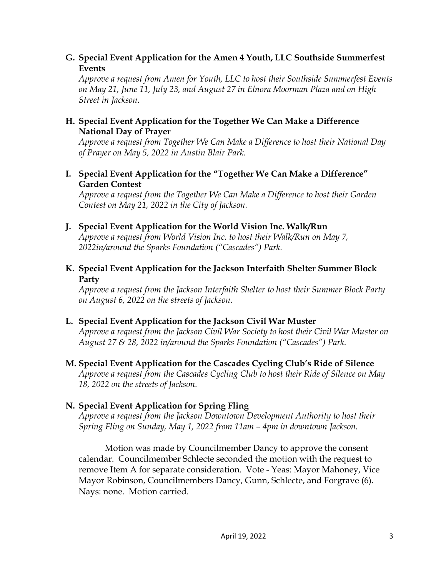#### **G. Special Event Application for the Amen 4 Youth, LLC Southside Summerfest Events**

*Approve a request from Amen for Youth, LLC to host their Southside Summerfest Events on May 21, June 11, July 23, and August 27 in Elnora Moorman Plaza and on High Street in Jackson.* 

#### **H. Special Event Application for the Together We Can Make a Difference National Day of Prayer**

*Approve a request from Together We Can Make a Difference to host their National Day of Prayer on May 5, 2022 in Austin Blair Park.* 

## **I. Special Event Application for the "Together We Can Make a Difference" Garden Contest**

*Approve a request from the Together We Can Make a Difference to host their Garden Contest on May 21, 2022 in the City of Jackson.* 

#### **J. Special Event Application for the World Vision Inc. Walk/Run**

*Approve a request from World Vision Inc. to host their Walk/Run on May 7, 2022in/around the Sparks Foundation ("Cascades") Park.* 

## **K. Special Event Application for the Jackson Interfaith Shelter Summer Block Party**

*Approve a request from the Jackson Interfaith Shelter to host their Summer Block Party on August 6, 2022 on the streets of Jackson.* 

## **L. Special Event Application for the Jackson Civil War Muster**

*Approve a request from the Jackson Civil War Society to host their Civil War Muster on August 27 & 28, 2022 in/around the Sparks Foundation ("Cascades") Park.* 

# **M. Special Event Application for the Cascades Cycling Club's Ride of Silence**

*Approve a request from the Cascades Cycling Club to host their Ride of Silence on May 18, 2022 on the streets of Jackson.* 

## **N. Special Event Application for Spring Fling**

*Approve a request from the Jackson Downtown Development Authority to host their Spring Fling on Sunday, May 1, 2022 from 11am – 4pm in downtown Jackson.* 

Motion was made by Councilmember Dancy to approve the consent calendar. Councilmember Schlecte seconded the motion with the request to remove Item A for separate consideration. Vote - Yeas: Mayor Mahoney, Vice Mayor Robinson, Councilmembers Dancy, Gunn, Schlecte, and Forgrave (6). Nays: none. Motion carried.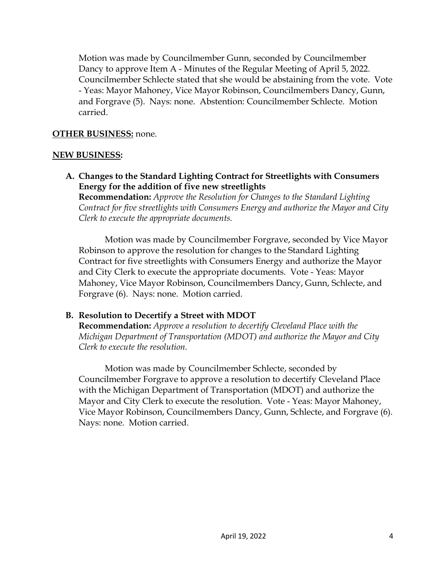Motion was made by Councilmember Gunn, seconded by Councilmember Dancy to approve Item A - Minutes of the Regular Meeting of April 5, 2022. Councilmember Schlecte stated that she would be abstaining from the vote. Vote - Yeas: Mayor Mahoney, Vice Mayor Robinson, Councilmembers Dancy, Gunn, and Forgrave (5). Nays: none. Abstention: Councilmember Schlecte. Motion carried.

#### **OTHER BUSINESS:** none.

#### **NEW BUSINESS:**

**A. Changes to the Standard Lighting Contract for Streetlights with Consumers Energy for the addition of five new streetlights** 

**Recommendation:** *Approve the Resolution for Changes to the Standard Lighting Contract for five streetlights with Consumers Energy and authorize the Mayor and City Clerk to execute the appropriate documents.* 

Motion was made by Councilmember Forgrave, seconded by Vice Mayor Robinson to approve the resolution for changes to the Standard Lighting Contract for five streetlights with Consumers Energy and authorize the Mayor and City Clerk to execute the appropriate documents. Vote - Yeas: Mayor Mahoney, Vice Mayor Robinson, Councilmembers Dancy, Gunn, Schlecte, and Forgrave (6). Nays: none. Motion carried.

## **B. Resolution to Decertify a Street with MDOT**

**Recommendation:** *Approve a resolution to decertify Cleveland Place with the Michigan Department of Transportation (MDOT) and authorize the Mayor and City Clerk to execute the resolution.* 

Motion was made by Councilmember Schlecte, seconded by Councilmember Forgrave to approve a resolution to decertify Cleveland Place with the Michigan Department of Transportation (MDOT) and authorize the Mayor and City Clerk to execute the resolution. Vote - Yeas: Mayor Mahoney, Vice Mayor Robinson, Councilmembers Dancy, Gunn, Schlecte, and Forgrave (6). Nays: none. Motion carried.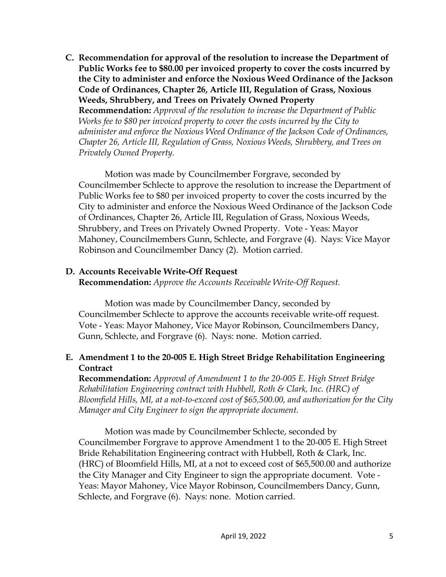**C. Recommendation for approval of the resolution to increase the Department of Public Works fee to \$80.00 per invoiced property to cover the costs incurred by the City to administer and enforce the Noxious Weed Ordinance of the Jackson Code of Ordinances, Chapter 26, Article III, Regulation of Grass, Noxious Weeds, Shrubbery, and Trees on Privately Owned Property** 

**Recommendation:** *Approval of the resolution to increase the Department of Public Works fee to \$80 per invoiced property to cover the costs incurred by the City to administer and enforce the Noxious Weed Ordinance of the Jackson Code of Ordinances, Chapter 26, Article III, Regulation of Grass, Noxious Weeds, Shrubbery, and Trees on Privately Owned Property.* 

Motion was made by Councilmember Forgrave, seconded by Councilmember Schlecte to approve the resolution to increase the Department of Public Works fee to \$80 per invoiced property to cover the costs incurred by the City to administer and enforce the Noxious Weed Ordinance of the Jackson Code of Ordinances, Chapter 26, Article III, Regulation of Grass, Noxious Weeds, Shrubbery, and Trees on Privately Owned Property. Vote - Yeas: Mayor Mahoney, Councilmembers Gunn, Schlecte, and Forgrave (4). Nays: Vice Mayor Robinson and Councilmember Dancy (2). Motion carried.

## **D. Accounts Receivable Write-Off Request**

**Recommendation:** *Approve the Accounts Receivable Write-Off Request.*

Motion was made by Councilmember Dancy, seconded by Councilmember Schlecte to approve the accounts receivable write-off request. Vote - Yeas: Mayor Mahoney, Vice Mayor Robinson, Councilmembers Dancy, Gunn, Schlecte, and Forgrave (6). Nays: none. Motion carried.

# **E. Amendment 1 to the 20-005 E. High Street Bridge Rehabilitation Engineering Contract**

**Recommendation:** *Approval of Amendment 1 to the 20-005 E. High Street Bridge Rehabilitation Engineering contract with Hubbell, Roth & Clark, Inc. (HRC) of Bloomfield Hills, MI, at a not-to-exceed cost of \$65,500.00, and authorization for the City Manager and City Engineer to sign the appropriate document.* 

Motion was made by Councilmember Schlecte, seconded by Councilmember Forgrave to approve Amendment 1 to the 20-005 E. High Street Bride Rehabilitation Engineering contract with Hubbell, Roth & Clark, Inc. (HRC) of Bloomfield Hills, MI, at a not to exceed cost of \$65,500.00 and authorize the City Manager and City Engineer to sign the appropriate document. Vote - Yeas: Mayor Mahoney, Vice Mayor Robinson, Councilmembers Dancy, Gunn, Schlecte, and Forgrave (6). Nays: none. Motion carried.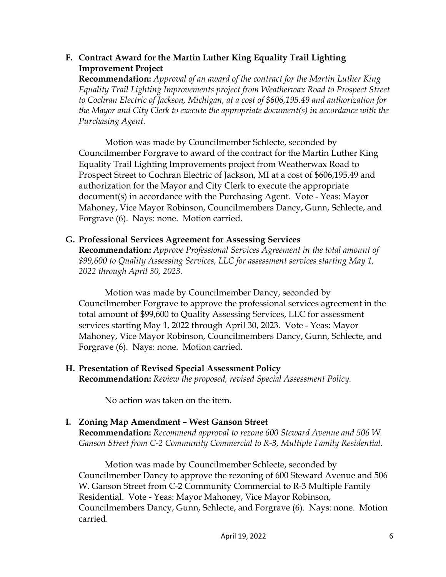## **F. Contract Award for the Martin Luther King Equality Trail Lighting Improvement Project**

**Recommendation:** *Approval of an award of the contract for the Martin Luther King Equality Trail Lighting Improvements project from Weatherwax Road to Prospect Street to Cochran Electric of Jackson, Michigan, at a cost of \$606,195.49 and authorization for the Mayor and City Clerk to execute the appropriate document(s) in accordance with the Purchasing Agent.* 

Motion was made by Councilmember Schlecte, seconded by Councilmember Forgrave to award of the contract for the Martin Luther King Equality Trail Lighting Improvements project from Weatherwax Road to Prospect Street to Cochran Electric of Jackson, MI at a cost of \$606,195.49 and authorization for the Mayor and City Clerk to execute the appropriate document(s) in accordance with the Purchasing Agent. Vote - Yeas: Mayor Mahoney, Vice Mayor Robinson, Councilmembers Dancy, Gunn, Schlecte, and Forgrave (6). Nays: none. Motion carried.

## **G. Professional Services Agreement for Assessing Services**

**Recommendation:** *Approve Professional Services Agreement in the total amount of \$99,600 to Quality Assessing Services, LLC for assessment services starting May 1, 2022 through April 30, 2023.* 

Motion was made by Councilmember Dancy, seconded by Councilmember Forgrave to approve the professional services agreement in the total amount of \$99,600 to Quality Assessing Services, LLC for assessment services starting May 1, 2022 through April 30, 2023. Vote - Yeas: Mayor Mahoney, Vice Mayor Robinson, Councilmembers Dancy, Gunn, Schlecte, and Forgrave (6). Nays: none. Motion carried.

#### **H. Presentation of Revised Special Assessment Policy Recommendation:** *Review the proposed, revised Special Assessment Policy.*

No action was taken on the item.

# **I. Zoning Map Amendment – West Ganson Street**

**Recommendation:** *Recommend approval to rezone 600 Steward Avenue and 506 W. Ganson Street from C-2 Community Commercial to R-3, Multiple Family Residential.* 

Motion was made by Councilmember Schlecte, seconded by Councilmember Dancy to approve the rezoning of 600 Steward Avenue and 506 W. Ganson Street from C-2 Community Commercial to R-3 Multiple Family Residential. Vote - Yeas: Mayor Mahoney, Vice Mayor Robinson, Councilmembers Dancy, Gunn, Schlecte, and Forgrave (6). Nays: none. Motion carried.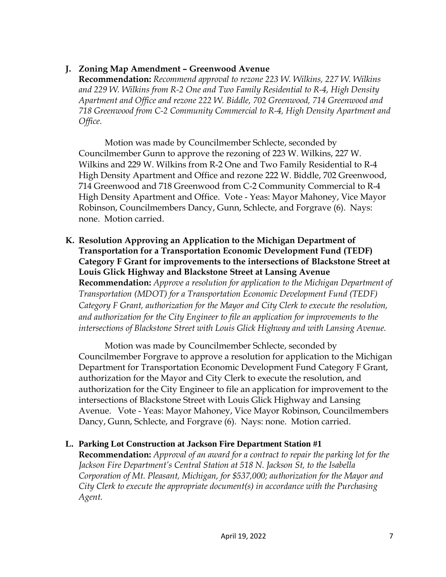# **J. Zoning Map Amendment – Greenwood Avenue**

**Recommendation:** *Recommend approval to rezone 223 W. Wilkins, 227 W. Wilkins and 229 W. Wilkins from R-2 One and Two Family Residential to R-4, High Density Apartment and Office and rezone 222 W. Biddle, 702 Greenwood, 714 Greenwood and 718 Greenwood from C-2 Community Commercial to R-4, High Density Apartment and Office.* 

Motion was made by Councilmember Schlecte, seconded by Councilmember Gunn to approve the rezoning of 223 W. Wilkins, 227 W. Wilkins and 229 W. Wilkins from R-2 One and Two Family Residential to R-4 High Density Apartment and Office and rezone 222 W. Biddle, 702 Greenwood, 714 Greenwood and 718 Greenwood from C-2 Community Commercial to R-4 High Density Apartment and Office. Vote - Yeas: Mayor Mahoney, Vice Mayor Robinson, Councilmembers Dancy, Gunn, Schlecte, and Forgrave (6). Nays: none. Motion carried.

**K. Resolution Approving an Application to the Michigan Department of Transportation for a Transportation Economic Development Fund (TEDF) Category F Grant for improvements to the intersections of Blackstone Street at Louis Glick Highway and Blackstone Street at Lansing Avenue Recommendation:** *Approve a resolution for application to the Michigan Department of Transportation (MDOT) for a Transportation Economic Development Fund (TEDF) Category F Grant, authorization for the Mayor and City Clerk to execute the resolution, and authorization for the City Engineer to file an application for improvements to the intersections of Blackstone Street with Louis Glick Highway and with Lansing Avenue.*

Motion was made by Councilmember Schlecte, seconded by Councilmember Forgrave to approve a resolution for application to the Michigan Department for Transportation Economic Development Fund Category F Grant, authorization for the Mayor and City Clerk to execute the resolution, and authorization for the City Engineer to file an application for improvement to the intersections of Blackstone Street with Louis Glick Highway and Lansing Avenue. Vote - Yeas: Mayor Mahoney, Vice Mayor Robinson, Councilmembers Dancy, Gunn, Schlecte, and Forgrave (6). Nays: none. Motion carried.

## **L. Parking Lot Construction at Jackson Fire Department Station #1**

**Recommendation:** *Approval of an award for a contract to repair the parking lot for the Jackson Fire Department's Central Station at 518 N. Jackson St, to the Isabella Corporation of Mt. Pleasant, Michigan, for \$537,000; authorization for the Mayor and City Clerk to execute the appropriate document(s) in accordance with the Purchasing Agent.*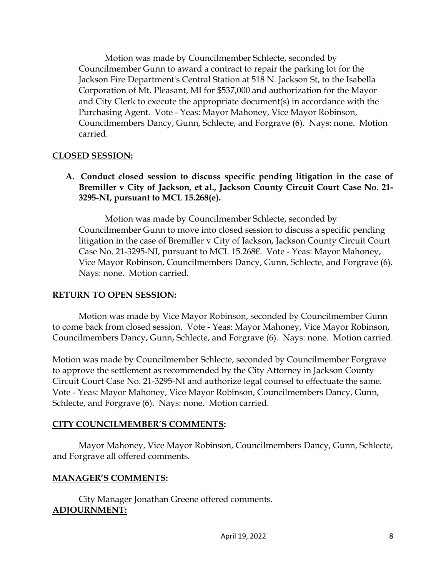Motion was made by Councilmember Schlecte, seconded by Councilmember Gunn to award a contract to repair the parking lot for the Jackson Fire Department's Central Station at 518 N. Jackson St, to the Isabella Corporation of Mt. Pleasant, MI for \$537,000 and authorization for the Mayor and City Clerk to execute the appropriate document(s) in accordance with the Purchasing Agent. Vote - Yeas: Mayor Mahoney, Vice Mayor Robinson, Councilmembers Dancy, Gunn, Schlecte, and Forgrave (6). Nays: none. Motion carried.

## **CLOSED SESSION:**

**A. Conduct closed session to discuss specific pending litigation in the case of Bremiller v City of Jackson, et al., Jackson County Circuit Court Case No. 21- 3295-NI, pursuant to MCL 15.268(e).** 

Motion was made by Councilmember Schlecte, seconded by Councilmember Gunn to move into closed session to discuss a specific pending litigation in the case of Bremiller v City of Jackson, Jackson County Circuit Court Case No. 21-3295-NI, pursuant to MCL 15.268€. Vote - Yeas: Mayor Mahoney, Vice Mayor Robinson, Councilmembers Dancy, Gunn, Schlecte, and Forgrave (6). Nays: none. Motion carried.

## **RETURN TO OPEN SESSION:**

Motion was made by Vice Mayor Robinson, seconded by Councilmember Gunn to come back from closed session. Vote - Yeas: Mayor Mahoney, Vice Mayor Robinson, Councilmembers Dancy, Gunn, Schlecte, and Forgrave (6). Nays: none. Motion carried.

Motion was made by Councilmember Schlecte, seconded by Councilmember Forgrave to approve the settlement as recommended by the City Attorney in Jackson County Circuit Court Case No. 21-3295-NI and authorize legal counsel to effectuate the same. Vote - Yeas: Mayor Mahoney, Vice Mayor Robinson, Councilmembers Dancy, Gunn, Schlecte, and Forgrave (6). Nays: none. Motion carried.

# **CITY COUNCILMEMBER'S COMMENTS:**

Mayor Mahoney, Vice Mayor Robinson, Councilmembers Dancy, Gunn, Schlecte, and Forgrave all offered comments.

# **MANAGER'S COMMENTS:**

City Manager Jonathan Greene offered comments. **ADJOURNMENT:**